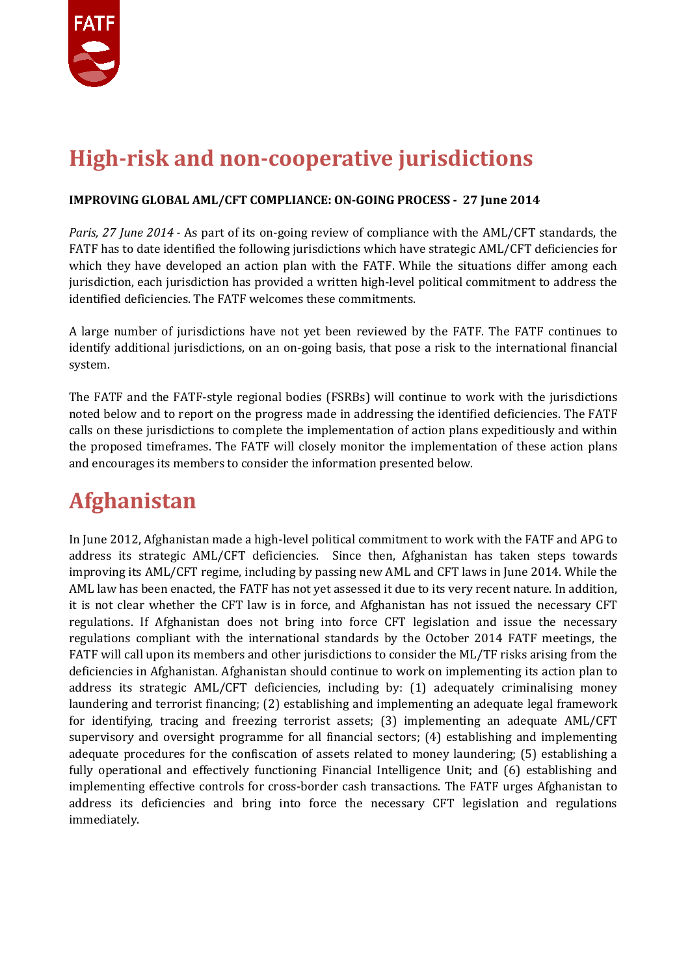

## **High-risk and non-cooperative jurisdictions**

#### **IMPROVING GLOBAL AML/CFT COMPLIANCE: ON-GOING PROCESS - 27 June 2014**

*Paris, 27 June 2014 -* As part of its on-going review of compliance with the AML/CFT standards, the FATF has to date identified the following jurisdictions which have strategic AML/CFT deficiencies for which they have developed an action plan with the FATF. While the situations differ among each jurisdiction, each jurisdiction has provided a written high-level political commitment to address the identified deficiencies. The FATF welcomes these commitments.

A large number of jurisdictions have not yet been reviewed by the FATF. The FATF continues to identify additional jurisdictions, on an on-going basis, that pose a risk to the international financial system.

The FATF and the FATF-style regional bodies (FSRBs) will continue to work with the jurisdictions noted below and to report on the progress made in addressing the identified deficiencies. The FATF calls on these jurisdictions to complete the implementation of action plans expeditiously and within the proposed timeframes. The FATF will closely monitor the implementation of these action plans and encourages its members to consider the information presented below.

## **Afghanistan**

In June 2012, Afghanistan made a high-level political commitment to work with the FATF and APG to address its strategic AML/CFT deficiencies. Since then, Afghanistan has taken steps towards improving its AML/CFT regime, including by passing new AML and CFT laws in June 2014. While the AML law has been enacted, the FATF has not yet assessed it due to its very recent nature. In addition, it is not clear whether the CFT law is in force, and Afghanistan has not issued the necessary CFT regulations. If Afghanistan does not bring into force CFT legislation and issue the necessary regulations compliant with the international standards by the October 2014 FATF meetings, the FATF will call upon its members and other jurisdictions to consider the ML/TF risks arising from the deficiencies in Afghanistan. Afghanistan should continue to work on implementing its action plan to address its strategic AML/CFT deficiencies, including by: (1) adequately criminalising money laundering and terrorist financing; (2) establishing and implementing an adequate legal framework for identifying, tracing and freezing terrorist assets; (3) implementing an adequate AML/CFT supervisory and oversight programme for all financial sectors; (4) establishing and implementing adequate procedures for the confiscation of assets related to money laundering; (5) establishing a fully operational and effectively functioning Financial Intelligence Unit; and (6) establishing and implementing effective controls for cross-border cash transactions. The FATF urges Afghanistan to address its deficiencies and bring into force the necessary CFT legislation and regulations immediately.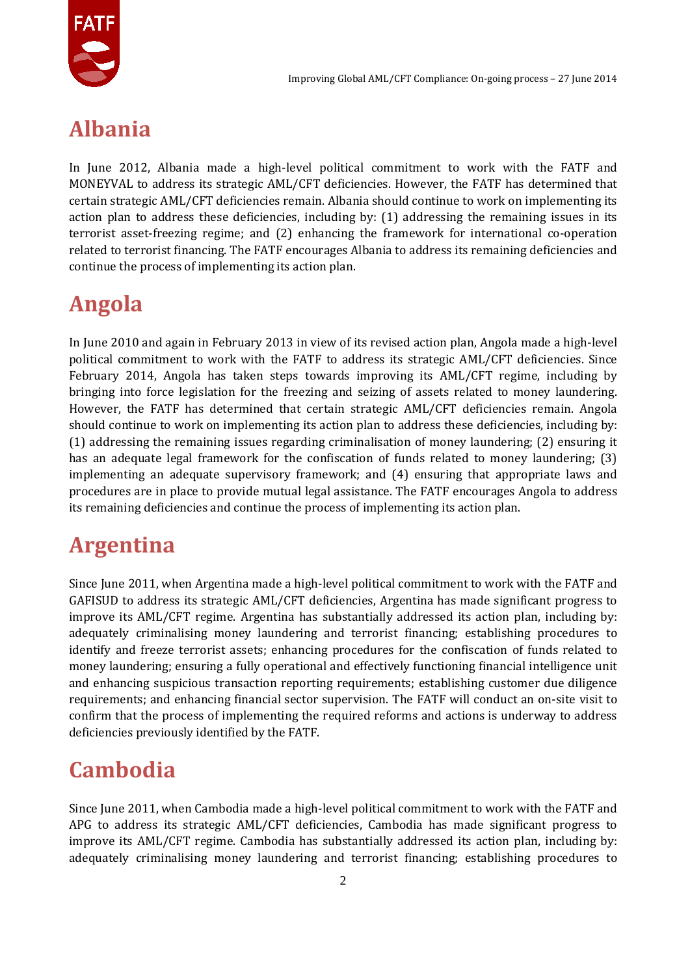

## **Albania**

In June 2012, Albania made a high-level political commitment to work with the FATF and MONEYVAL to address its strategic AML/CFT deficiencies. However, the FATF has determined that certain strategic AML/CFT deficiencies remain. Albania should continue to work on implementing its action plan to address these deficiencies, including by: (1) addressing the remaining issues in its terrorist asset-freezing regime; and (2) enhancing the framework for international co-operation related to terrorist financing. The FATF encourages Albania to address its remaining deficiencies and continue the process of implementing its action plan.

# **Angola**

In June 2010 and again in February 2013 in view of its revised action plan, Angola made a high-level political commitment to work with the FATF to address its strategic AML/CFT deficiencies. Since February 2014, Angola has taken steps towards improving its AML/CFT regime, including by bringing into force legislation for the freezing and seizing of assets related to money laundering. However, the FATF has determined that certain strategic AML/CFT deficiencies remain. Angola should continue to work on implementing its action plan to address these deficiencies, including by: (1) addressing the remaining issues regarding criminalisation of money laundering; (2) ensuring it has an adequate legal framework for the confiscation of funds related to money laundering; (3) implementing an adequate supervisory framework; and (4) ensuring that appropriate laws and procedures are in place to provide mutual legal assistance. The FATF encourages Angola to address its remaining deficiencies and continue the process of implementing its action plan.

## **Argentina**

Since June 2011, when Argentina made a high-level political commitment to work with the FATF and GAFISUD to address its strategic AML/CFT deficiencies, Argentina has made significant progress to improve its AML/CFT regime. Argentina has substantially addressed its action plan, including by: adequately criminalising money laundering and terrorist financing; establishing procedures to identify and freeze terrorist assets; enhancing procedures for the confiscation of funds related to money laundering; ensuring a fully operational and effectively functioning financial intelligence unit and enhancing suspicious transaction reporting requirements; establishing customer due diligence requirements; and enhancing financial sector supervision. The FATF will conduct an on-site visit to confirm that the process of implementing the required reforms and actions is underway to address deficiencies previously identified by the FATF.

# **Cambodia**

Since June 2011, when Cambodia made a high-level political commitment to work with the FATF and APG to address its strategic AML/CFT deficiencies, Cambodia has made significant progress to improve its AML/CFT regime. Cambodia has substantially addressed its action plan, including by: adequately criminalising money laundering and terrorist financing; establishing procedures to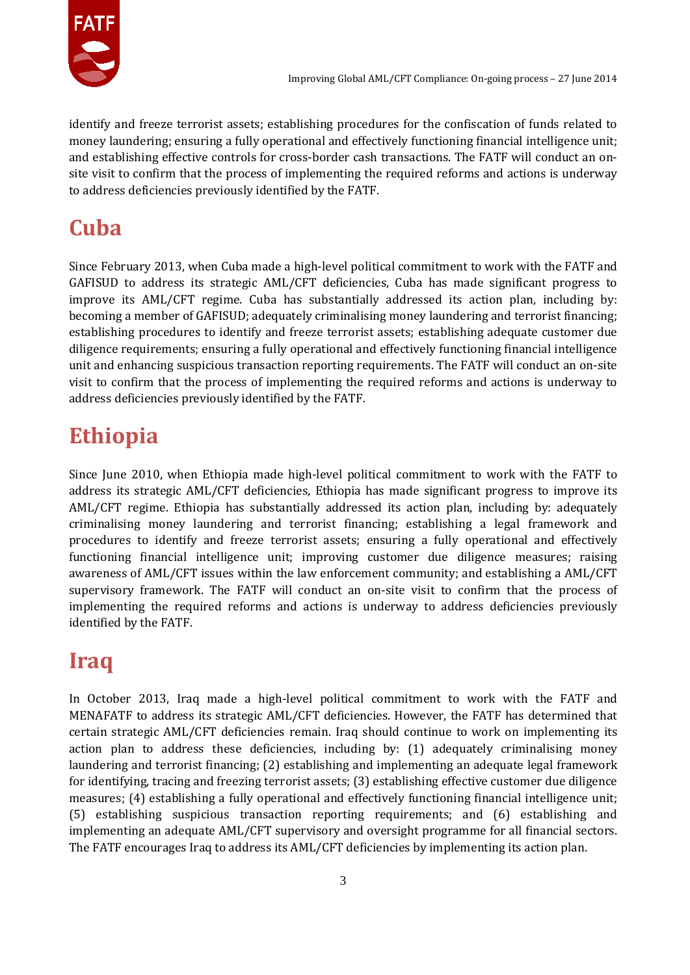

identify and freeze terrorist assets; establishing procedures for the confiscation of funds related to money laundering; ensuring a fully operational and effectively functioning financial intelligence unit; and establishing effective controls for cross-border cash transactions. The FATF will conduct an onsite visit to confirm that the process of implementing the required reforms and actions is underway to address deficiencies previously identified by the FATF.

# **Cuba**

Since February 2013, when Cuba made a high-level political commitment to work with the FATF and GAFISUD to address its strategic AML/CFT deficiencies, Cuba has made significant progress to improve its AML/CFT regime. Cuba has substantially addressed its action plan, including by: becoming a member of GAFISUD; adequately criminalising money laundering and terrorist financing; establishing procedures to identify and freeze terrorist assets; establishing adequate customer due diligence requirements; ensuring a fully operational and effectively functioning financial intelligence unit and enhancing suspicious transaction reporting requirements. The FATF will conduct an on-site visit to confirm that the process of implementing the required reforms and actions is underway to address deficiencies previously identified by the FATF.

# **Ethiopia**

Since June 2010, when Ethiopia made high-level political commitment to work with the FATF to address its strategic AML/CFT deficiencies, Ethiopia has made significant progress to improve its AML/CFT regime. Ethiopia has substantially addressed its action plan, including by: adequately criminalising money laundering and terrorist financing; establishing a legal framework and procedures to identify and freeze terrorist assets; ensuring a fully operational and effectively functioning financial intelligence unit; improving customer due diligence measures; raising awareness of AML/CFT issues within the law enforcement community; and establishing a AML/CFT supervisory framework. The FATF will conduct an on-site visit to confirm that the process of implementing the required reforms and actions is underway to address deficiencies previously identified by the FATF.

# **Iraq**

In October 2013, Iraq made a high-level political commitment to work with the FATF and MENAFATF to address its strategic AML/CFT deficiencies. However, the FATF has determined that certain strategic AML/CFT deficiencies remain. Iraq should continue to work on implementing its action plan to address these deficiencies, including by: (1) adequately criminalising money laundering and terrorist financing; (2) establishing and implementing an adequate legal framework for identifying, tracing and freezing terrorist assets; (3) establishing effective customer due diligence measures; (4) establishing a fully operational and effectively functioning financial intelligence unit; (5) establishing suspicious transaction reporting requirements; and (6) establishing and implementing an adequate AML/CFT supervisory and oversight programme for all financial sectors. The FATF encourages Iraq to address its AML/CFT deficiencies by implementing its action plan.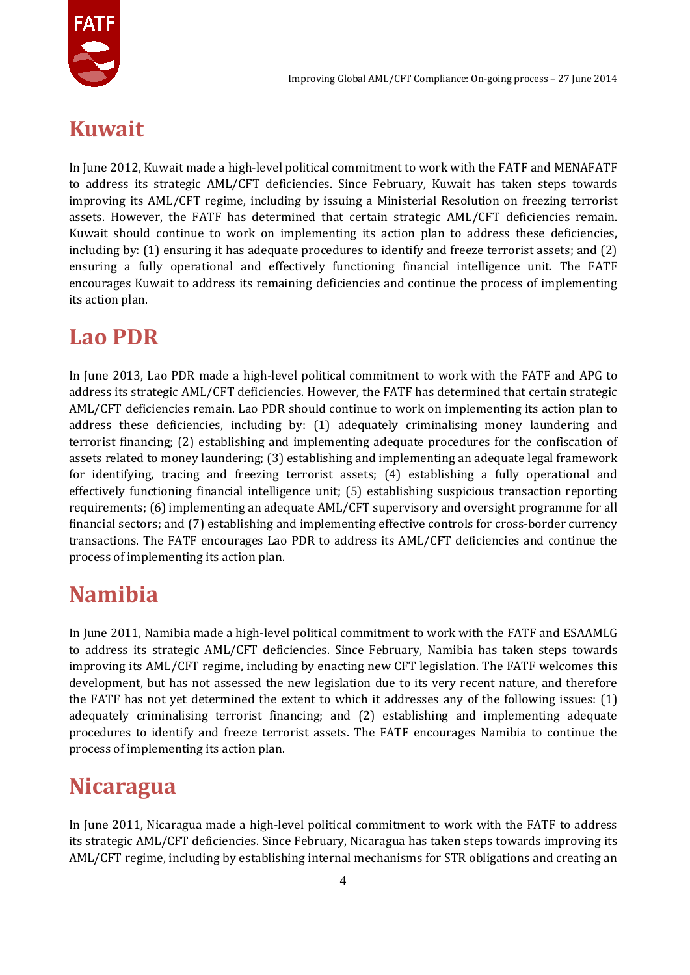

#### **Kuwait**

In June 2012, Kuwait made a high-level political commitment to work with the FATF and MENAFATF to address its strategic AML/CFT deficiencies. Since February, Kuwait has taken steps towards improving its AML/CFT regime, including by issuing a Ministerial Resolution on freezing terrorist assets. However, the FATF has determined that certain strategic AML/CFT deficiencies remain. Kuwait should continue to work on implementing its action plan to address these deficiencies, including by: (1) ensuring it has adequate procedures to identify and freeze terrorist assets; and (2) ensuring a fully operational and effectively functioning financial intelligence unit. The FATF encourages Kuwait to address its remaining deficiencies and continue the process of implementing its action plan.

#### **Lao PDR**

In June 2013, Lao PDR made a high-level political commitment to work with the FATF and APG to address its strategic AML/CFT deficiencies. However, the FATF has determined that certain strategic AML/CFT deficiencies remain. Lao PDR should continue to work on implementing its action plan to address these deficiencies, including by: (1) adequately criminalising money laundering and terrorist financing; (2) establishing and implementing adequate procedures for the confiscation of assets related to money laundering; (3) establishing and implementing an adequate legal framework for identifying, tracing and freezing terrorist assets; (4) establishing a fully operational and effectively functioning financial intelligence unit; (5) establishing suspicious transaction reporting requirements; (6) implementing an adequate AML/CFT supervisory and oversight programme for all financial sectors; and (7) establishing and implementing effective controls for cross-border currency transactions. The FATF encourages Lao PDR to address its AML/CFT deficiencies and continue the process of implementing its action plan.

# **Namibia**

In June 2011, Namibia made a high-level political commitment to work with the FATF and ESAAMLG to address its strategic AML/CFT deficiencies. Since February, Namibia has taken steps towards improving its AML/CFT regime, including by enacting new CFT legislation. The FATF welcomes this development, but has not assessed the new legislation due to its very recent nature, and therefore the FATF has not yet determined the extent to which it addresses any of the following issues: (1) adequately criminalising terrorist financing; and (2) establishing and implementing adequate procedures to identify and freeze terrorist assets. The FATF encourages Namibia to continue the process of implementing its action plan.

#### **Nicaragua**

In June 2011, Nicaragua made a high-level political commitment to work with the FATF to address its strategic AML/CFT deficiencies. Since February, Nicaragua has taken steps towards improving its AML/CFT regime, including by establishing internal mechanisms for STR obligations and creating an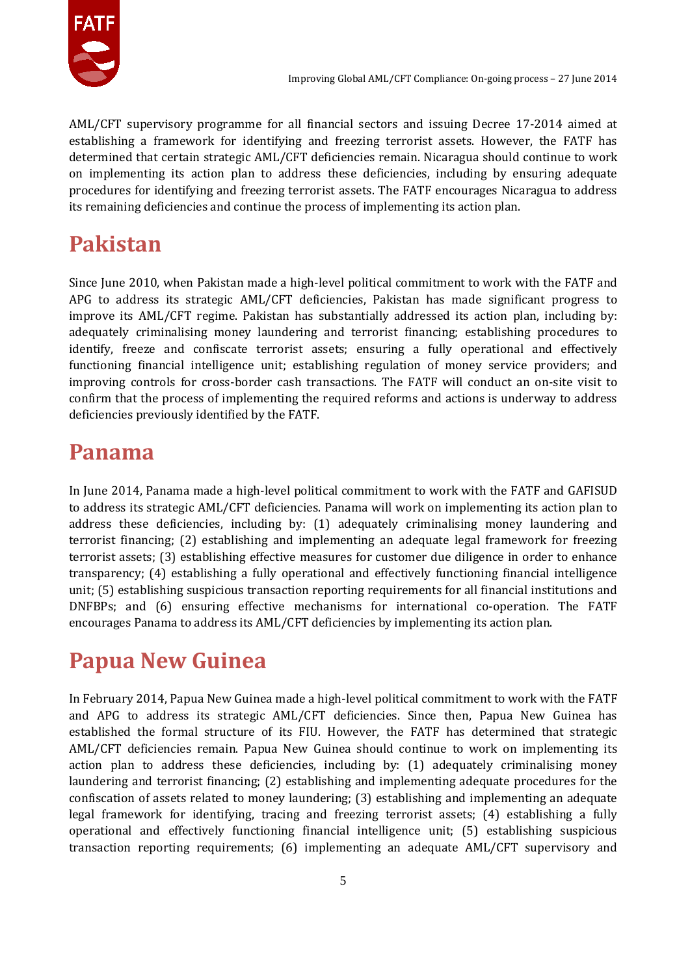

AML/CFT supervisory programme for all financial sectors and issuing Decree 17-2014 aimed at establishing a framework for identifying and freezing terrorist assets. However, the FATF has determined that certain strategic AML/CFT deficiencies remain. Nicaragua should continue to work on implementing its action plan to address these deficiencies, including by ensuring adequate procedures for identifying and freezing terrorist assets. The FATF encourages Nicaragua to address its remaining deficiencies and continue the process of implementing its action plan.

## **Pakistan**

Since June 2010, when Pakistan made a high-level political commitment to work with the FATF and APG to address its strategic AML/CFT deficiencies, Pakistan has made significant progress to improve its AML/CFT regime. Pakistan has substantially addressed its action plan, including by: adequately criminalising money laundering and terrorist financing; establishing procedures to identify, freeze and confiscate terrorist assets; ensuring a fully operational and effectively functioning financial intelligence unit; establishing regulation of money service providers; and improving controls for cross-border cash transactions. The FATF will conduct an on-site visit to confirm that the process of implementing the required reforms and actions is underway to address deficiencies previously identified by the FATF.

#### **Panama**

In June 2014, Panama made a high-level political commitment to work with the FATF and GAFISUD to address its strategic AML/CFT deficiencies. Panama will work on implementing its action plan to address these deficiencies, including by: (1) adequately criminalising money laundering and terrorist financing; (2) establishing and implementing an adequate legal framework for freezing terrorist assets; (3) establishing effective measures for customer due diligence in order to enhance transparency; (4) establishing a fully operational and effectively functioning financial intelligence unit; (5) establishing suspicious transaction reporting requirements for all financial institutions and DNFBPs; and (6) ensuring effective mechanisms for international co-operation. The FATF encourages Panama to address its AML/CFT deficiencies by implementing its action plan.

## **Papua New Guinea**

In February 2014, Papua New Guinea made a high-level political commitment to work with the FATF and APG to address its strategic AML/CFT deficiencies. Since then, Papua New Guinea has established the formal structure of its FIU. However, the FATF has determined that strategic AML/CFT deficiencies remain. Papua New Guinea should continue to work on implementing its action plan to address these deficiencies, including by: (1) adequately criminalising money laundering and terrorist financing; (2) establishing and implementing adequate procedures for the confiscation of assets related to money laundering; (3) establishing and implementing an adequate legal framework for identifying, tracing and freezing terrorist assets; (4) establishing a fully operational and effectively functioning financial intelligence unit; (5) establishing suspicious transaction reporting requirements; (6) implementing an adequate AML/CFT supervisory and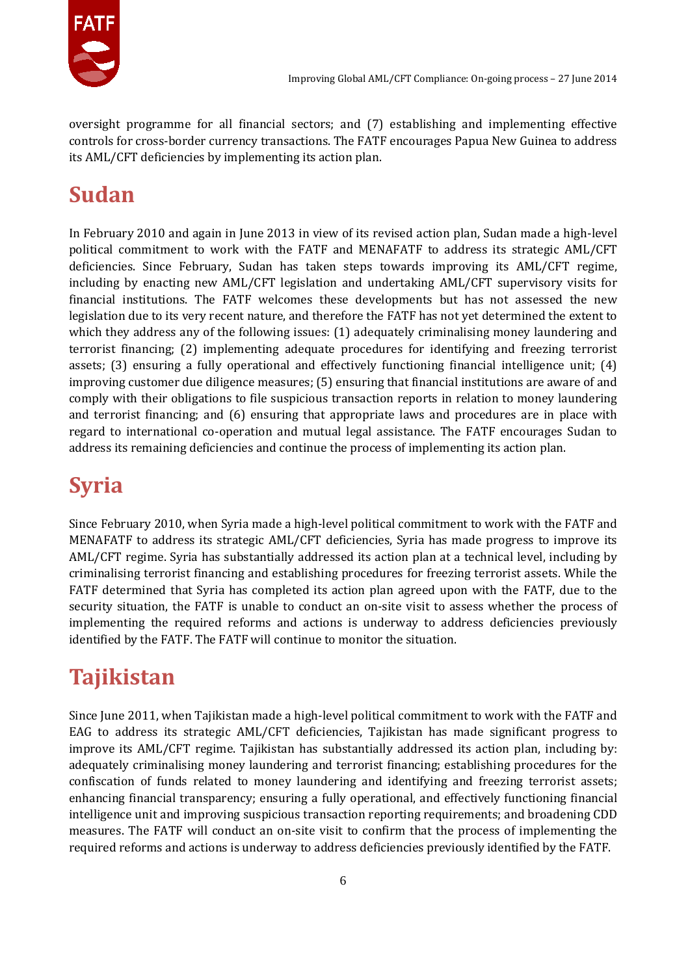

oversight programme for all financial sectors; and (7) establishing and implementing effective controls for cross-border currency transactions. The FATF encourages Papua New Guinea to address its AML/CFT deficiencies by implementing its action plan.

# **Sudan**

In February 2010 and again in June 2013 in view of its revised action plan, Sudan made a high-level political commitment to work with the FATF and MENAFATF to address its strategic AML/CFT deficiencies. Since February, Sudan has taken steps towards improving its AML/CFT regime, including by enacting new AML/CFT legislation and undertaking AML/CFT supervisory visits for financial institutions. The FATF welcomes these developments but has not assessed the new legislation due to its very recent nature, and therefore the FATF has not yet determined the extent to which they address any of the following issues: (1) adequately criminalising money laundering and terrorist financing; (2) implementing adequate procedures for identifying and freezing terrorist assets; (3) ensuring a fully operational and effectively functioning financial intelligence unit; (4) improving customer due diligence measures; (5) ensuring that financial institutions are aware of and comply with their obligations to file suspicious transaction reports in relation to money laundering and terrorist financing; and (6) ensuring that appropriate laws and procedures are in place with regard to international co-operation and mutual legal assistance. The FATF encourages Sudan to address its remaining deficiencies and continue the process of implementing its action plan.

## **Syria**

Since February 2010, when Syria made a high-level political commitment to work with the FATF and MENAFATF to address its strategic AML/CFT deficiencies, Syria has made progress to improve its AML/CFT regime. Syria has substantially addressed its action plan at a technical level, including by criminalising terrorist financing and establishing procedures for freezing terrorist assets. While the FATF determined that Syria has completed its action plan agreed upon with the FATF, due to the security situation, the FATF is unable to conduct an on-site visit to assess whether the process of implementing the required reforms and actions is underway to address deficiencies previously identified by the FATF. The FATF will continue to monitor the situation.

## **Tajikistan**

Since June 2011, when Tajikistan made a high-level political commitment to work with the FATF and EAG to address its strategic AML/CFT deficiencies, Tajikistan has made significant progress to improve its AML/CFT regime. Tajikistan has substantially addressed its action plan, including by: adequately criminalising money laundering and terrorist financing; establishing procedures for the confiscation of funds related to money laundering and identifying and freezing terrorist assets; enhancing financial transparency; ensuring a fully operational, and effectively functioning financial intelligence unit and improving suspicious transaction reporting requirements; and broadening CDD measures. The FATF will conduct an on-site visit to confirm that the process of implementing the required reforms and actions is underway to address deficiencies previously identified by the FATF.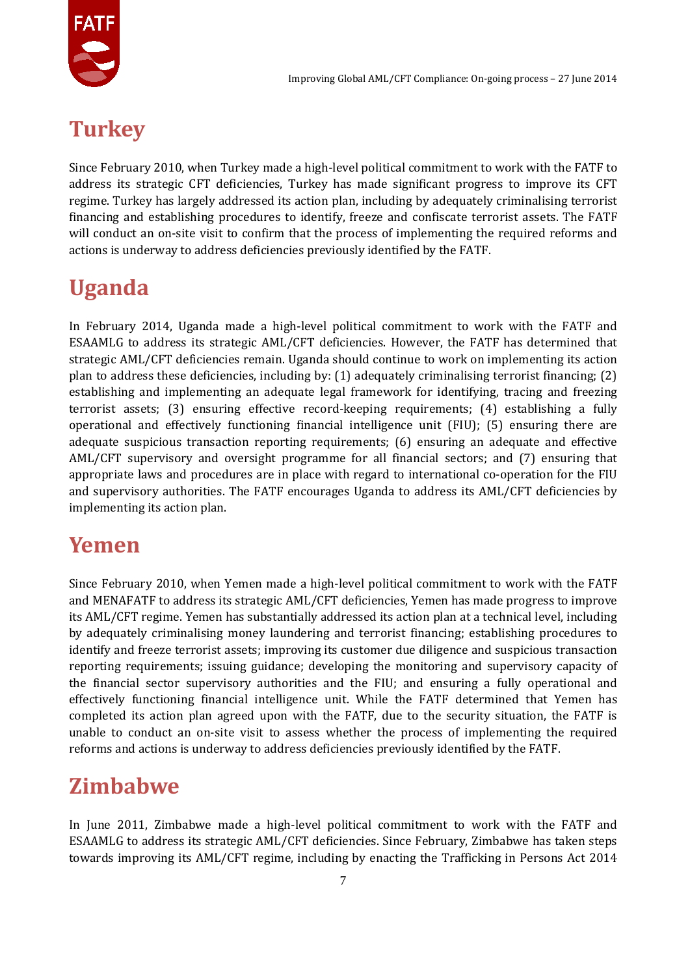

## **Turkey**

Since February 2010, when Turkey made a high-level political commitment to work with the FATF to address its strategic CFT deficiencies, Turkey has made significant progress to improve its CFT regime. Turkey has largely addressed its action plan, including by adequately criminalising terrorist financing and establishing procedures to identify, freeze and confiscate terrorist assets. The FATF will conduct an on-site visit to confirm that the process of implementing the required reforms and actions is underway to address deficiencies previously identified by the FATF.

# **Uganda**

In February 2014, Uganda made a high-level political commitment to work with the FATF and ESAAMLG to address its strategic AML/CFT deficiencies. However, the FATF has determined that strategic AML/CFT deficiencies remain. Uganda should continue to work on implementing its action plan to address these deficiencies, including by: (1) adequately criminalising terrorist financing; (2) establishing and implementing an adequate legal framework for identifying, tracing and freezing terrorist assets; (3) ensuring effective record-keeping requirements; (4) establishing a fully operational and effectively functioning financial intelligence unit (FIU); (5) ensuring there are adequate suspicious transaction reporting requirements; (6) ensuring an adequate and effective AML/CFT supervisory and oversight programme for all financial sectors; and (7) ensuring that appropriate laws and procedures are in place with regard to international co-operation for the FIU and supervisory authorities. The FATF encourages Uganda to address its AML/CFT deficiencies by implementing its action plan.

## **Yemen**

Since February 2010, when Yemen made a high-level political commitment to work with the FATF and MENAFATF to address its strategic AML/CFT deficiencies, Yemen has made progress to improve its AML/CFT regime. Yemen has substantially addressed its action plan at a technical level, including by adequately criminalising money laundering and terrorist financing; establishing procedures to identify and freeze terrorist assets; improving its customer due diligence and suspicious transaction reporting requirements; issuing guidance; developing the monitoring and supervisory capacity of the financial sector supervisory authorities and the FIU; and ensuring a fully operational and effectively functioning financial intelligence unit. While the FATF determined that Yemen has completed its action plan agreed upon with the FATF, due to the security situation, the FATF is unable to conduct an on-site visit to assess whether the process of implementing the required reforms and actions is underway to address deficiencies previously identified by the FATF.

## **Zimbabwe**

In June 2011, Zimbabwe made a high-level political commitment to work with the FATF and ESAAMLG to address its strategic AML/CFT deficiencies. Since February, Zimbabwe has taken steps towards improving its AML/CFT regime, including by enacting the Trafficking in Persons Act 2014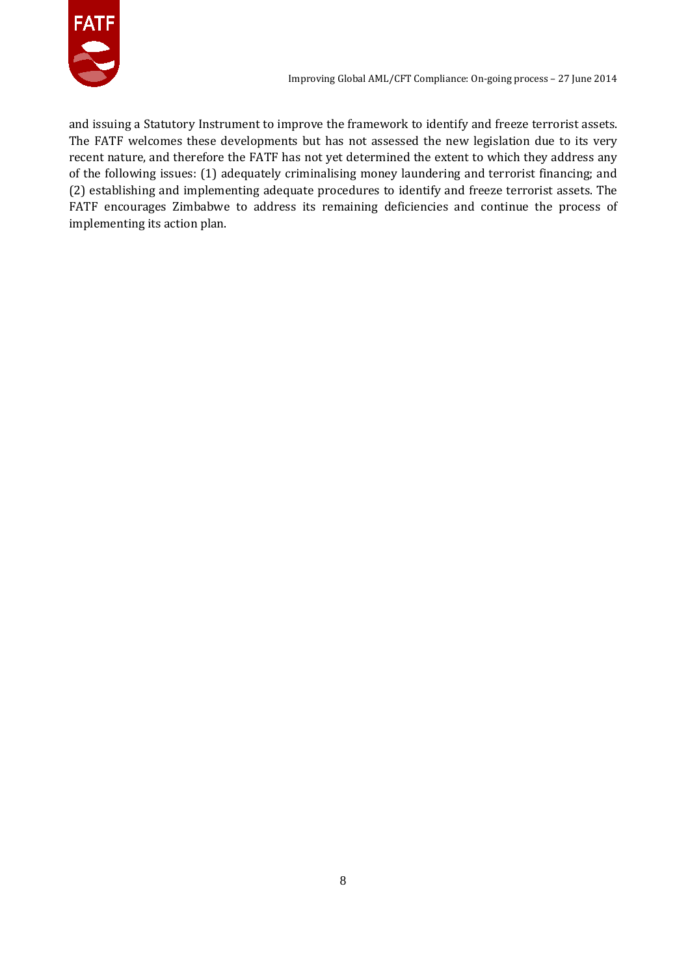

and issuing a Statutory Instrument to improve the framework to identify and freeze terrorist assets. The FATF welcomes these developments but has not assessed the new legislation due to its very recent nature, and therefore the FATF has not yet determined the extent to which they address any of the following issues: (1) adequately criminalising money laundering and terrorist financing; and (2) establishing and implementing adequate procedures to identify and freeze terrorist assets. The FATF encourages Zimbabwe to address its remaining deficiencies and continue the process of implementing its action plan.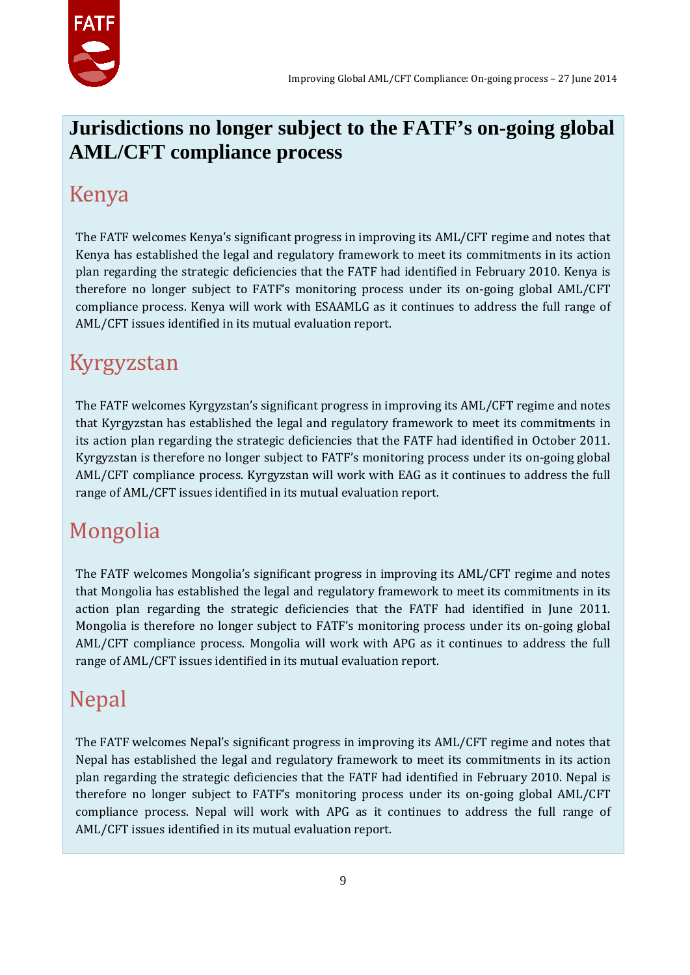

#### **Jurisdictions no longer subject to the FATF's on-going global AML/CFT compliance process**

#### Kenya

The FATF welcomes Kenya's significant progress in improving its AML/CFT regime and notes that Kenya has established the legal and regulatory framework to meet its commitments in its action plan regarding the strategic deficiencies that the FATF had identified in February 2010. Kenya is therefore no longer subject to FATF's monitoring process under its on-going global AML/CFT compliance process. Kenya will work with ESAAMLG as it continues to address the full range of AML/CFT issues identified in its mutual evaluation report.

#### Kyrgyzstan

The FATF welcomes Kyrgyzstan's significant progress in improving its AML/CFT regime and notes that Kyrgyzstan has established the legal and regulatory framework to meet its commitments in its action plan regarding the strategic deficiencies that the FATF had identified in October 2011. Kyrgyzstan is therefore no longer subject to FATF's monitoring process under its on-going global AML/CFT compliance process. Kyrgyzstan will work with EAG as it continues to address the full range of AML/CFT issues identified in its mutual evaluation report.

## Mongolia

The FATF welcomes Mongolia's significant progress in improving its AML/CFT regime and notes that Mongolia has established the legal and regulatory framework to meet its commitments in its action plan regarding the strategic deficiencies that the FATF had identified in June 2011. Mongolia is therefore no longer subject to FATF's monitoring process under its on-going global AML/CFT compliance process. Mongolia will work with APG as it continues to address the full range of AML/CFT issues identified in its mutual evaluation report.

## Nepal

The FATF welcomes Nepal's significant progress in improving its AML/CFT regime and notes that Nepal has established the legal and regulatory framework to meet its commitments in its action plan regarding the strategic deficiencies that the FATF had identified in February 2010. Nepal is therefore no longer subject to FATF's monitoring process under its on-going global AML/CFT compliance process. Nepal will work with APG as it continues to address the full range of AML/CFT issues identified in its mutual evaluation report.